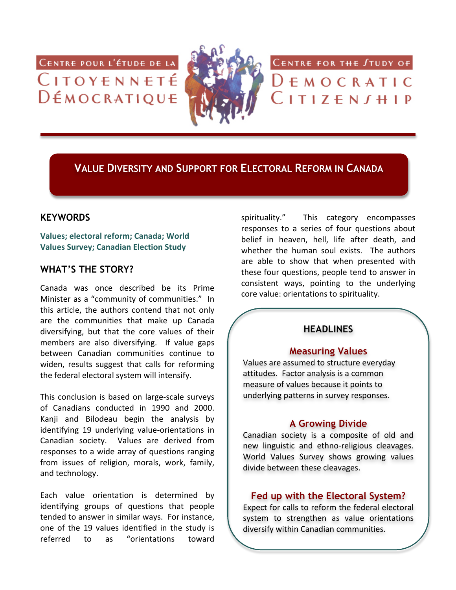CENTRE POUR L'ÉTUDE DE LA CITOYENNETÉ DÉMOCRATIQUE



CENTRE FOR THE STUDY OF

 $D \in M$  O C <code>R</code> A <code>T</code> I C

 $\overline{C}$  I T I Z  $\overline{E}$  N  $\overline{J}$  H I P

**VALUE DIVERSITY AND SUPPORT FOR ELECTORAL REFORM IN CANADA**

# **KEYWORDS**

Values; electoral reform; Canada; World **Values Survey; Canadian Election Study** 

# **WHAT'S THE STORY?**

Canada was once described be its Prime Minister as a "community of communities." In this article, the authors contend that not only are the communities that make up Canada diversifying, but that the core values of their members are also diversifying. If value gaps between Canadian communities continue to widen, results suggest that calls for reforming the federal electoral system will intensify.

This conclusion is based on large-scale surveys of Canadians conducted in 1990 and 2000. Kanii and Bilodeau begin the analysis by identifying 19 underlying value-orientations in Canadian society. Values are derived from responses to a wide array of questions ranging from issues of religion, morals, work, family, and technology.

Each value orientation is determined by identifying groups of questions that people tended to answer in similar ways. For instance, one of the 19 values identified in the study is referred to as "orientations toward

spirituality." This category encompasses responses to a series of four questions about belief in heaven, hell, life after death, and whether the human soul exists. The authors are able to show that when presented with these four questions, people tend to answer in consistent ways, pointing to the underlying core value: orientations to spirituality.

# **HEADLINES**

#### **Measuring Values**

Values are assumed to structure everyday attitudes. Factor analysis is a common measure of values because it points to underlying patterns in survey responses.

# **A Growing Divide**

Canadian society is a composite of old and new linguistic and ethno-religious cleavages. World Values Survey shows growing values divide between these cleavages.

### **Fed up with the Electoral System?**

Expect for calls to reform the federal electoral system to strengthen as value orientations diversify within Canadian communities.